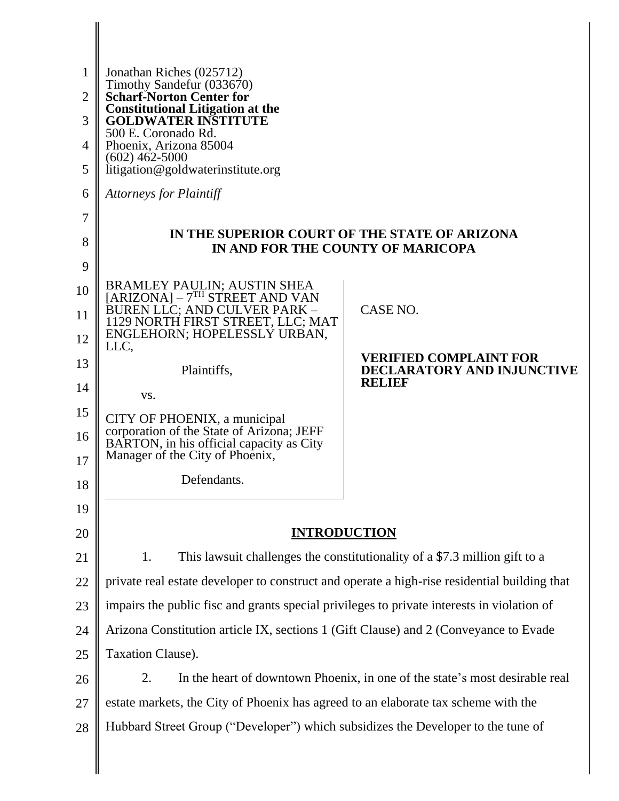| 1        | Jonathan Riches (025712)                                                                                                 |                                                                             |
|----------|--------------------------------------------------------------------------------------------------------------------------|-----------------------------------------------------------------------------|
| 2        | Timothy Sandefur (033670)<br><b>Scharf-Norton Center for</b>                                                             |                                                                             |
| 3        | <b>Constitutional Litigation at the</b><br><b>GOLDWATER INSTITUTE</b>                                                    |                                                                             |
| 4        | 500 E. Coronado Rd.<br>Phoenix, Arizona 85004                                                                            |                                                                             |
| 5        | $(602)$ 462-5000<br>litigation@goldwaterinstitute.org                                                                    |                                                                             |
| 6        | <b>Attorneys for Plaintiff</b>                                                                                           |                                                                             |
| 7        |                                                                                                                          |                                                                             |
| 8        | IN THE SUPERIOR COURT OF THE STATE OF ARIZONA<br>IN AND FOR THE COUNTY OF MARICOPA                                       |                                                                             |
| 9        |                                                                                                                          |                                                                             |
| 10       | BRAMLEY PAULIN; AUSTIN SHEA<br>[ARIZONA] – 7 <sup>TH</sup> STREET AND VAN                                                |                                                                             |
| 11       | BUREN LLC; AND CULVER PARK –<br>1129 NORTH FIRST STREET, LLC; MAT                                                        | CASE NO.                                                                    |
| 12       | ENGLEHORN; HOPELESSLY URBAN,<br>LLC,                                                                                     |                                                                             |
| 13       | Plaintiffs,                                                                                                              | <b>VERIFIED COMPLAINT FOR</b><br>DECLARATORY AND INJUNCTIVE                 |
| 14       | VS.                                                                                                                      | <b>RELIEF</b>                                                               |
| 15       | CITY OF PHOENIX, a municipal                                                                                             |                                                                             |
| 16<br>17 | corporation of the State of Arizona; JEFF<br>BARTON, in his official capacity as City<br>Manager of the City of Phoenix, |                                                                             |
| 18       | Defendants.                                                                                                              |                                                                             |
| 19       |                                                                                                                          |                                                                             |
| 20       | <b>INTRODUCTION</b>                                                                                                      |                                                                             |
| 21       | 1.                                                                                                                       | This lawsuit challenges the constitutionality of a \$7.3 million gift to a  |
| 22       | private real estate developer to construct and operate a high-rise residential building that                             |                                                                             |
| 23       | impairs the public fisc and grants special privileges to private interests in violation of                               |                                                                             |
| 24       | Arizona Constitution article IX, sections 1 (Gift Clause) and 2 (Conveyance to Evade                                     |                                                                             |
| 25       | Taxation Clause).                                                                                                        |                                                                             |
| 26       | 2.                                                                                                                       | In the heart of downtown Phoenix, in one of the state's most desirable real |
| 27       | estate markets, the City of Phoenix has agreed to an elaborate tax scheme with the                                       |                                                                             |
| 28       | Hubbard Street Group ("Developer") which subsidizes the Developer to the tune of                                         |                                                                             |
|          |                                                                                                                          |                                                                             |
|          |                                                                                                                          |                                                                             |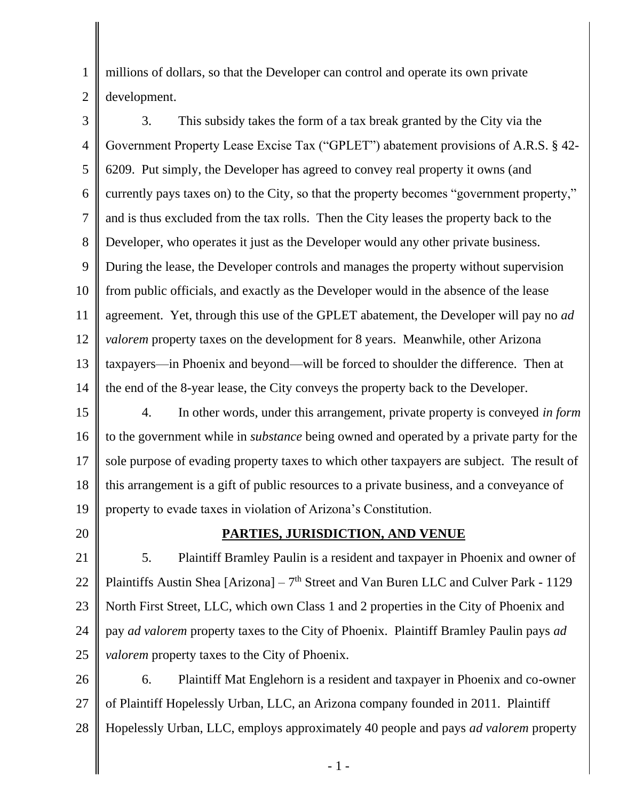1 2 millions of dollars, so that the Developer can control and operate its own private development.

3 4 5 6 7 8 9 10 11 12 13 14 3. This subsidy takes the form of a tax break granted by the City via the Government Property Lease Excise Tax ("GPLET") abatement provisions of A.R.S. § 42- 6209. Put simply, the Developer has agreed to convey real property it owns (and currently pays taxes on) to the City, so that the property becomes "government property," and is thus excluded from the tax rolls. Then the City leases the property back to the Developer, who operates it just as the Developer would any other private business. During the lease, the Developer controls and manages the property without supervision from public officials, and exactly as the Developer would in the absence of the lease agreement. Yet, through this use of the GPLET abatement, the Developer will pay no *ad valorem* property taxes on the development for 8 years. Meanwhile, other Arizona taxpayers—in Phoenix and beyond—will be forced to shoulder the difference. Then at the end of the 8-year lease, the City conveys the property back to the Developer.

15 16 17 18 19 4. In other words, under this arrangement, private property is conveyed *in form* to the government while in *substance* being owned and operated by a private party for the sole purpose of evading property taxes to which other taxpayers are subject. The result of this arrangement is a gift of public resources to a private business, and a conveyance of property to evade taxes in violation of Arizona's Constitution.

20

## **PARTIES, JURISDICTION, AND VENUE**

21 22 23 24 25 5. Plaintiff Bramley Paulin is a resident and taxpayer in Phoenix and owner of Plaintiffs Austin Shea [Arizona] – 7<sup>th</sup> Street and Van Buren LLC and Culver Park - 1129 North First Street, LLC, which own Class 1 and 2 properties in the City of Phoenix and pay *ad valorem* property taxes to the City of Phoenix. Plaintiff Bramley Paulin pays *ad valorem* property taxes to the City of Phoenix.

26 27 28 6. Plaintiff Mat Englehorn is a resident and taxpayer in Phoenix and co-owner of Plaintiff Hopelessly Urban, LLC, an Arizona company founded in 2011. Plaintiff Hopelessly Urban, LLC, employs approximately 40 people and pays *ad valorem* property

- 1 -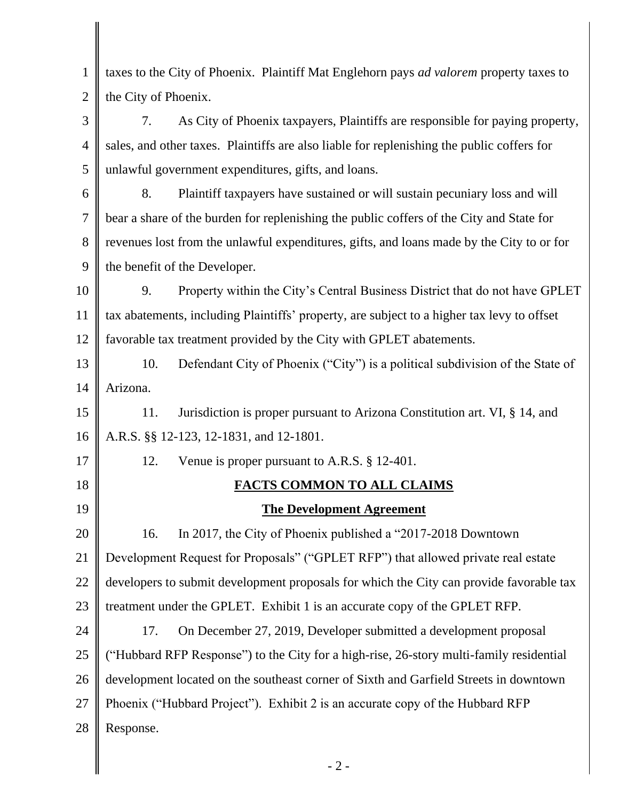| taxes to the City of Phoenix. Plaintiff Mat Englehorn pays ad valorem property taxes to    |
|--------------------------------------------------------------------------------------------|
| the City of Phoenix.                                                                       |
| As City of Phoenix taxpayers, Plaintiffs are responsible for paying property,<br>7.        |
| sales, and other taxes. Plaintiffs are also liable for replenishing the public coffers for |
| unlawful government expenditures, gifts, and loans.                                        |
| Plaintiff taxpayers have sustained or will sustain pecuniary loss and will<br>8.           |
| bear a share of the burden for replenishing the public coffers of the City and State for   |
| revenues lost from the unlawful expenditures, gifts, and loans made by the City to or for  |
| the benefit of the Developer.                                                              |
| Property within the City's Central Business District that do not have GPLET<br>9.          |
| tax abatements, including Plaintiffs' property, are subject to a higher tax levy to offset |
| favorable tax treatment provided by the City with GPLET abatements.                        |
| Defendant City of Phoenix ("City") is a political subdivision of the State of<br>10.       |
| Arizona.                                                                                   |
| Jurisdiction is proper pursuant to Arizona Constitution art. VI, § 14, and<br>11.          |
| A.R.S. §§ 12-123, 12-1831, and 12-1801.                                                    |
| Venue is proper pursuant to A.R.S. § 12-401.<br>12.                                        |
| FACTS COMMON TO ALL CLAIMS                                                                 |
| <b>The Development Agreement</b>                                                           |
| In 2017, the City of Phoenix published a "2017-2018 Downtown<br>16.                        |
| Development Request for Proposals" ("GPLET RFP") that allowed private real estate          |
| developers to submit development proposals for which the City can provide favorable tax    |
| treatment under the GPLET. Exhibit 1 is an accurate copy of the GPLET RFP.                 |
| 17.<br>On December 27, 2019, Developer submitted a development proposal                    |
| ("Hubbard RFP Response") to the City for a high-rise, 26-story multi-family residential    |
| development located on the southeast corner of Sixth and Garfield Streets in downtown      |
| Phoenix ("Hubbard Project"). Exhibit 2 is an accurate copy of the Hubbard RFP              |
| Response.                                                                                  |
| $-2-$                                                                                      |
|                                                                                            |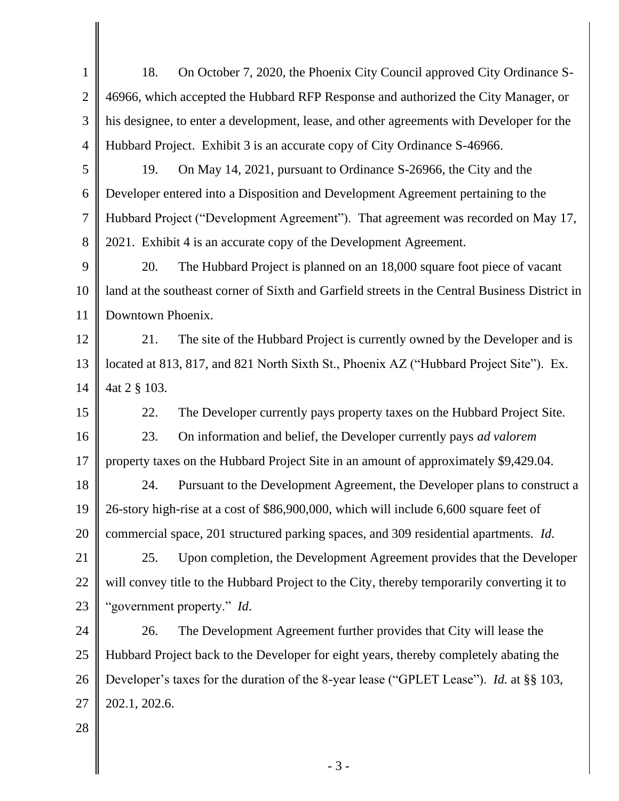| $\mathbf{1}$   | On October 7, 2020, the Phoenix City Council approved City Ordinance S-<br>18.                 |  |
|----------------|------------------------------------------------------------------------------------------------|--|
| $\overline{2}$ | 46966, which accepted the Hubbard RFP Response and authorized the City Manager, or             |  |
| 3              | his designee, to enter a development, lease, and other agreements with Developer for the       |  |
| $\overline{4}$ | Hubbard Project. Exhibit 3 is an accurate copy of City Ordinance S-46966.                      |  |
| 5              | On May 14, 2021, pursuant to Ordinance S-26966, the City and the<br>19.                        |  |
| 6              | Developer entered into a Disposition and Development Agreement pertaining to the               |  |
| $\overline{7}$ | Hubbard Project ("Development Agreement"). That agreement was recorded on May 17,              |  |
| 8              | 2021. Exhibit 4 is an accurate copy of the Development Agreement.                              |  |
| 9              | The Hubbard Project is planned on an 18,000 square foot piece of vacant<br>20.                 |  |
| 10             | land at the southeast corner of Sixth and Garfield streets in the Central Business District in |  |
| 11             | Downtown Phoenix.                                                                              |  |
| 12             | The site of the Hubbard Project is currently owned by the Developer and is<br>21.              |  |
| 13             | located at 813, 817, and 821 North Sixth St., Phoenix AZ ("Hubbard Project Site"). Ex.         |  |
| 14             | 4at 2 § 103.                                                                                   |  |
| 15             | 22.<br>The Developer currently pays property taxes on the Hubbard Project Site.                |  |
| 16             | On information and belief, the Developer currently pays ad valorem<br>23.                      |  |
| 17             | property taxes on the Hubbard Project Site in an amount of approximately \$9,429.04.           |  |
| 18             | Pursuant to the Development Agreement, the Developer plans to construct a<br>24.               |  |
| 19             | 26-story high-rise at a cost of \$86,900,000, which will include 6,600 square feet of          |  |
| 20             | commercial space, 201 structured parking spaces, and 309 residential apartments. Id.           |  |
| 21             | Upon completion, the Development Agreement provides that the Developer<br>25.                  |  |
| 22             | will convey title to the Hubbard Project to the City, thereby temporarily converting it to     |  |
| 23             | "government property." Id.                                                                     |  |
| 24             | The Development Agreement further provides that City will lease the<br>26.                     |  |
| 25             | Hubbard Project back to the Developer for eight years, thereby completely abating the          |  |
| 26             | Developer's taxes for the duration of the 8-year lease ("GPLET Lease"). Id. at §§ 103,         |  |
| 27             | 202.1, 202.6.                                                                                  |  |
| 28             |                                                                                                |  |
|                | $-3-$                                                                                          |  |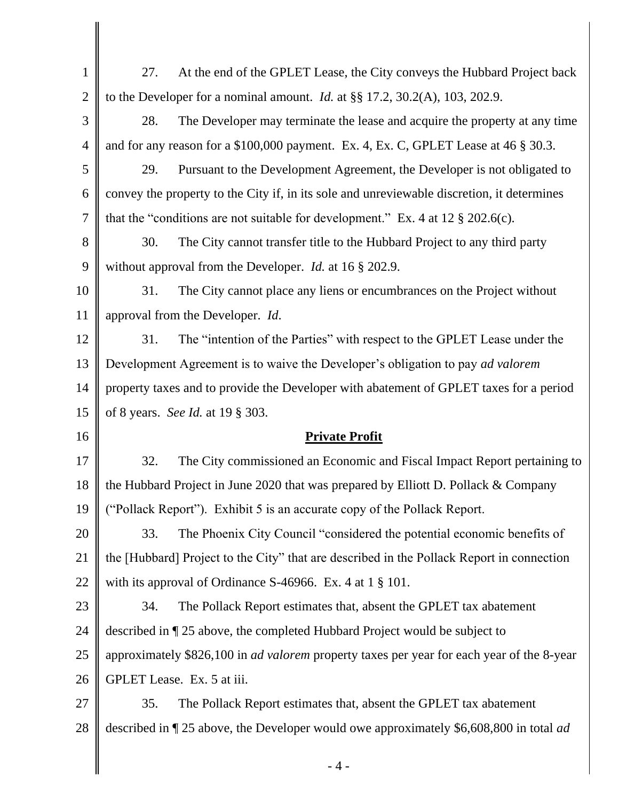| $\mathbf{1}$   | 27.<br>At the end of the GPLET Lease, the City conveys the Hubbard Project back                  |  |
|----------------|--------------------------------------------------------------------------------------------------|--|
| $\overline{2}$ | to the Developer for a nominal amount. <i>Id.</i> at $\S$ 17.2, 30.2(A), 103, 202.9.             |  |
| 3              | 28.<br>The Developer may terminate the lease and acquire the property at any time                |  |
| $\overline{4}$ | and for any reason for a $$100,000$ payment. Ex. 4, Ex. C, GPLET Lease at 46 $§$ 30.3.           |  |
| 5              | 29.<br>Pursuant to the Development Agreement, the Developer is not obligated to                  |  |
| 6              | convey the property to the City if, in its sole and unreviewable discretion, it determines       |  |
| $\overline{7}$ | that the "conditions are not suitable for development." Ex. 4 at 12 $\S 202.6(c)$ .              |  |
| 8              | 30.<br>The City cannot transfer title to the Hubbard Project to any third party                  |  |
| 9              | without approval from the Developer. <i>Id.</i> at 16 § 202.9.                                   |  |
| 10             | 31.<br>The City cannot place any liens or encumbrances on the Project without                    |  |
| 11             | approval from the Developer. Id.                                                                 |  |
| 12             | The "intention of the Parties" with respect to the GPLET Lease under the<br>31.                  |  |
| 13             | Development Agreement is to waive the Developer's obligation to pay ad valorem                   |  |
| 14             | property taxes and to provide the Developer with abatement of GPLET taxes for a period           |  |
| 15             | of 8 years. See Id. at 19 § 303.                                                                 |  |
| 16             | <b>Private Profit</b>                                                                            |  |
| 17             | 32.<br>The City commissioned an Economic and Fiscal Impact Report pertaining to                  |  |
| 18             | the Hubbard Project in June 2020 that was prepared by Elliott D. Pollack & Company               |  |
| 19             | ("Pollack Report"). Exhibit 5 is an accurate copy of the Pollack Report.                         |  |
| 20             | The Phoenix City Council "considered the potential economic benefits of<br>33.                   |  |
| 21             | the [Hubbard] Project to the City" that are described in the Pollack Report in connection        |  |
| 22             | with its approval of Ordinance S-46966. Ex. 4 at $1 \S 101$ .                                    |  |
| 23             | 34.<br>The Pollack Report estimates that, absent the GPLET tax abatement                         |  |
| 24             | described in ¶ 25 above, the completed Hubbard Project would be subject to                       |  |
| 25             | approximately \$826,100 in <i>ad valorem</i> property taxes per year for each year of the 8-year |  |
| 26             | GPLET Lease. Ex. 5 at iii.                                                                       |  |
| 27             | 35.<br>The Pollack Report estimates that, absent the GPLET tax abatement                         |  |
| 28             | described in ¶ 25 above, the Developer would owe approximately \$6,608,800 in total <i>ad</i>    |  |
|                | $-4-$                                                                                            |  |
|                |                                                                                                  |  |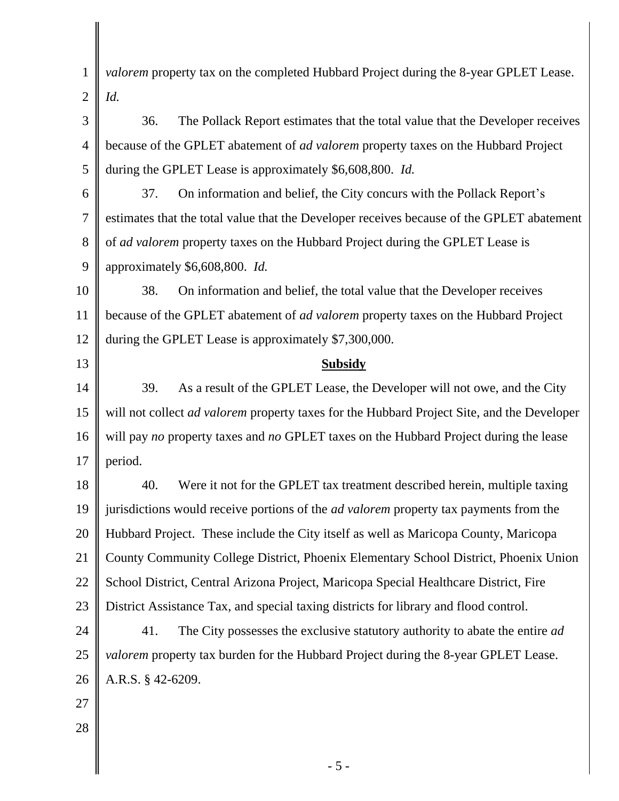| $\mathbf{1}$   | valorem property tax on the completed Hubbard Project during the 8-year GPLET Lease.              |
|----------------|---------------------------------------------------------------------------------------------------|
| $\overline{2}$ | Id.                                                                                               |
| 3              | The Pollack Report estimates that the total value that the Developer receives<br>36.              |
| 4              | because of the GPLET abatement of ad valorem property taxes on the Hubbard Project                |
| 5              | during the GPLET Lease is approximately \$6,608,800. Id.                                          |
| 6              | 37.<br>On information and belief, the City concurs with the Pollack Report's                      |
| 7              | estimates that the total value that the Developer receives because of the GPLET abatement         |
| 8              | of ad valorem property taxes on the Hubbard Project during the GPLET Lease is                     |
| 9              | approximately \$6,608,800. Id.                                                                    |
| 10             | 38.<br>On information and belief, the total value that the Developer receives                     |
| 11             | because of the GPLET abatement of <i>ad valorem</i> property taxes on the Hubbard Project         |
| 12             | during the GPLET Lease is approximately \$7,300,000.                                              |
| 13             | <b>Subsidy</b>                                                                                    |
| 14             | 39.<br>As a result of the GPLET Lease, the Developer will not owe, and the City                   |
| 15             | will not collect <i>ad valorem</i> property taxes for the Hubbard Project Site, and the Developer |
| 16             | will pay no property taxes and no GPLET taxes on the Hubbard Project during the lease             |
| 17             | period.                                                                                           |
| 18             | 40.<br>Were it not for the GPLET tax treatment described herein, multiple taxing                  |
| 19             | jurisdictions would receive portions of the <i>ad valorem</i> property tax payments from the      |
| 20             | Hubbard Project. These include the City itself as well as Maricopa County, Maricopa               |
| 21             | County Community College District, Phoenix Elementary School District, Phoenix Union              |
| 22             | School District, Central Arizona Project, Maricopa Special Healthcare District, Fire              |
| 23             | District Assistance Tax, and special taxing districts for library and flood control.              |
| 24             | 41.<br>The City possesses the exclusive statutory authority to abate the entire <i>ad</i>         |
| 25             | valorem property tax burden for the Hubbard Project during the 8-year GPLET Lease.                |
| 26             | A.R.S. § 42-6209.                                                                                 |
| 27             |                                                                                                   |
| 28             |                                                                                                   |
|                |                                                                                                   |
|                | $-5-$                                                                                             |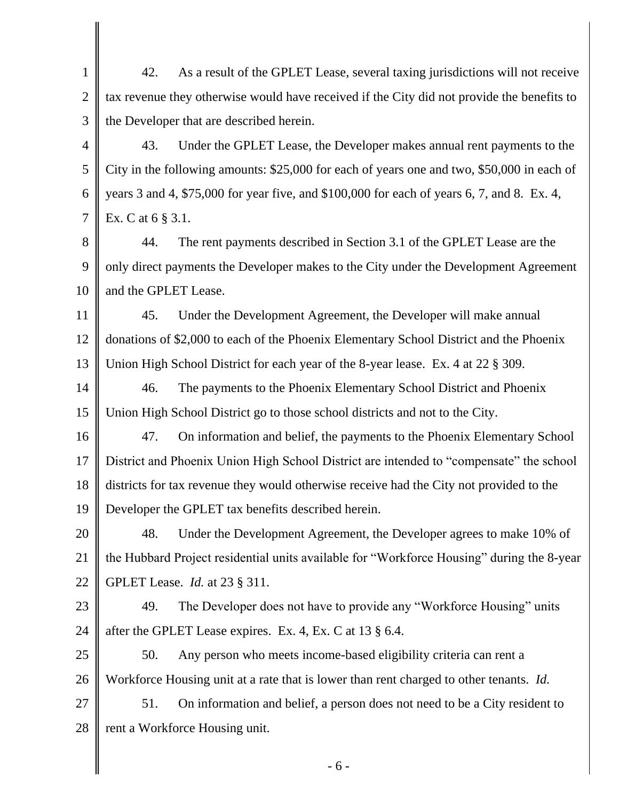1 2 3 42. As a result of the GPLET Lease, several taxing jurisdictions will not receive tax revenue they otherwise would have received if the City did not provide the benefits to the Developer that are described herein.

4 5 6 7 43. Under the GPLET Lease, the Developer makes annual rent payments to the City in the following amounts: \$25,000 for each of years one and two, \$50,000 in each of years 3 and 4, \$75,000 for year five, and \$100,000 for each of years 6, 7, and 8. Ex. 4, Ex. C at 6 § 3.1.

8 9 10 44. The rent payments described in Section 3.1 of the GPLET Lease are the only direct payments the Developer makes to the City under the Development Agreement and the GPLET Lease.

11 12 13 45. Under the Development Agreement, the Developer will make annual donations of \$2,000 to each of the Phoenix Elementary School District and the Phoenix Union High School District for each year of the 8-year lease. Ex. 4 at 22 § 309.

14 15 46. The payments to the Phoenix Elementary School District and Phoenix Union High School District go to those school districts and not to the City.

16 17 18 19 47. On information and belief, the payments to the Phoenix Elementary School District and Phoenix Union High School District are intended to "compensate" the school districts for tax revenue they would otherwise receive had the City not provided to the Developer the GPLET tax benefits described herein.

20 21 22 48. Under the Development Agreement, the Developer agrees to make 10% of the Hubbard Project residential units available for "Workforce Housing" during the 8-year GPLET Lease. *Id.* at 23 § 311.

23

24 49. The Developer does not have to provide any "Workforce Housing" units after the GPLET Lease expires. Ex. 4, Ex. C at 13 § 6.4.

25 26 50. Any person who meets income-based eligibility criteria can rent a Workforce Housing unit at a rate that is lower than rent charged to other tenants. *Id.*

27 28 51. On information and belief, a person does not need to be a City resident to rent a Workforce Housing unit.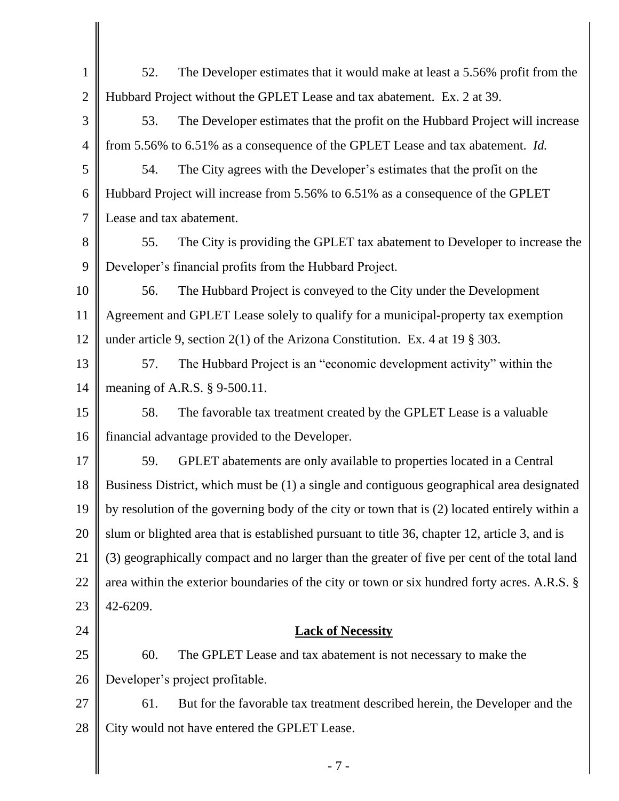| $\mathbf{1}$   | The Developer estimates that it would make at least a 5.56% profit from the<br>52.            |  |
|----------------|-----------------------------------------------------------------------------------------------|--|
| $\overline{2}$ | Hubbard Project without the GPLET Lease and tax abatement. Ex. 2 at 39.                       |  |
| 3              | The Developer estimates that the profit on the Hubbard Project will increase<br>53.           |  |
| $\overline{4}$ | from 5.56% to 6.51% as a consequence of the GPLET Lease and tax abatement. Id.                |  |
| 5              | The City agrees with the Developer's estimates that the profit on the<br>54.                  |  |
| 6              | Hubbard Project will increase from 5.56% to 6.51% as a consequence of the GPLET               |  |
| $\overline{7}$ | Lease and tax abatement.                                                                      |  |
| 8              | The City is providing the GPLET tax abatement to Developer to increase the<br>55.             |  |
| 9              | Developer's financial profits from the Hubbard Project.                                       |  |
| 10             | The Hubbard Project is conveyed to the City under the Development<br>56.                      |  |
| 11             | Agreement and GPLET Lease solely to qualify for a municipal-property tax exemption            |  |
| 12             | under article 9, section $2(1)$ of the Arizona Constitution. Ex. 4 at 19 § 303.               |  |
| 13             | The Hubbard Project is an "economic development activity" within the<br>57.                   |  |
| 14             | meaning of A.R.S. § 9-500.11.                                                                 |  |
| 15             | The favorable tax treatment created by the GPLET Lease is a valuable<br>58.                   |  |
| 16             | financial advantage provided to the Developer.                                                |  |
| 17             | GPLET abatements are only available to properties located in a Central<br>59.                 |  |
| 18             | Business District, which must be (1) a single and contiguous geographical area designated     |  |
| 19             | by resolution of the governing body of the city or town that is (2) located entirely within a |  |
| 20             | slum or blighted area that is established pursuant to title 36, chapter 12, article 3, and is |  |
| 21             | (3) geographically compact and no larger than the greater of five per cent of the total land  |  |
| 22             | area within the exterior boundaries of the city or town or six hundred forty acres. A.R.S. §  |  |
| 23             | 42-6209.                                                                                      |  |
| 24             | <b>Lack of Necessity</b>                                                                      |  |
| 25             | 60.<br>The GPLET Lease and tax abatement is not necessary to make the                         |  |
| 26             | Developer's project profitable.                                                               |  |
| 27             | 61.<br>But for the favorable tax treatment described herein, the Developer and the            |  |
| 28             | City would not have entered the GPLET Lease.                                                  |  |
|                | $-7-$                                                                                         |  |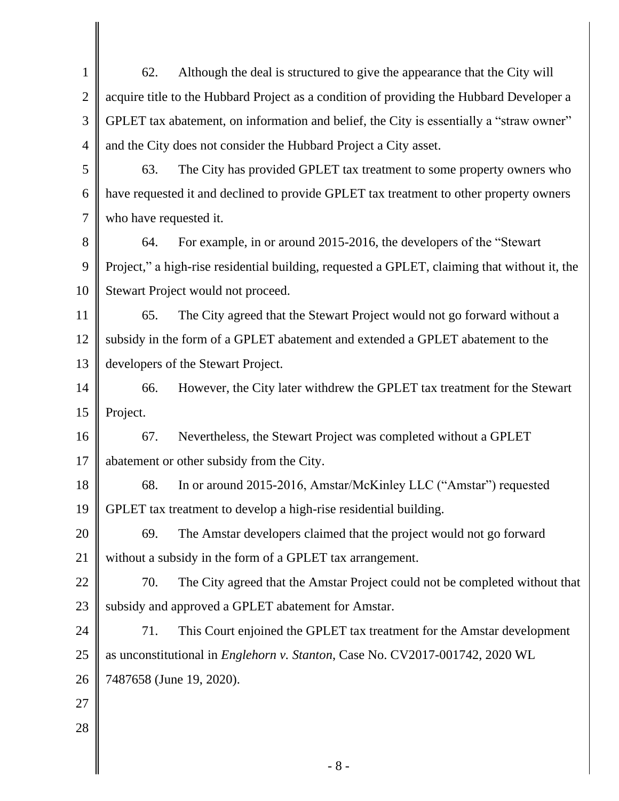| $\mathbf{1}$   | Although the deal is structured to give the appearance that the City will<br>62.             |
|----------------|----------------------------------------------------------------------------------------------|
| $\overline{2}$ | acquire title to the Hubbard Project as a condition of providing the Hubbard Developer a     |
| 3              | GPLET tax abatement, on information and belief, the City is essentially a "straw owner"      |
| $\overline{4}$ | and the City does not consider the Hubbard Project a City asset.                             |
| 5              | The City has provided GPLET tax treatment to some property owners who<br>63.                 |
| 6              | have requested it and declined to provide GPLET tax treatment to other property owners       |
| 7              | who have requested it.                                                                       |
| 8              | For example, in or around 2015-2016, the developers of the "Stewart"<br>64.                  |
| 9              | Project," a high-rise residential building, requested a GPLET, claiming that without it, the |
| 10             | Stewart Project would not proceed.                                                           |
| 11             | The City agreed that the Stewart Project would not go forward without a<br>65.               |
| 12             | subsidy in the form of a GPLET abatement and extended a GPLET abatement to the               |
| 13             | developers of the Stewart Project.                                                           |
| 14             | However, the City later withdrew the GPLET tax treatment for the Stewart<br>66.              |
| 15             | Project.                                                                                     |
| 16             | Nevertheless, the Stewart Project was completed without a GPLET<br>67.                       |
| 17             | abatement or other subsidy from the City.                                                    |
| 18             | In or around 2015-2016, Amstar/McKinley LLC ("Amstar") requested<br>68.                      |
| 19             | GPLET tax treatment to develop a high-rise residential building.                             |
| 20             | 69.<br>The Amstar developers claimed that the project would not go forward                   |
| 21             | without a subsidy in the form of a GPLET tax arrangement.                                    |
| 22             | 70.<br>The City agreed that the Amstar Project could not be completed without that           |
| 23             | subsidy and approved a GPLET abatement for Amstar.                                           |
| 24             | 71.<br>This Court enjoined the GPLET tax treatment for the Amstar development                |
| 25             | as unconstitutional in <i>Englehorn v. Stanton</i> , Case No. CV2017-001742, 2020 WL         |
| 26             | 7487658 (June 19, 2020).                                                                     |
| 27             |                                                                                              |
| 28             |                                                                                              |
|                | $-8-$                                                                                        |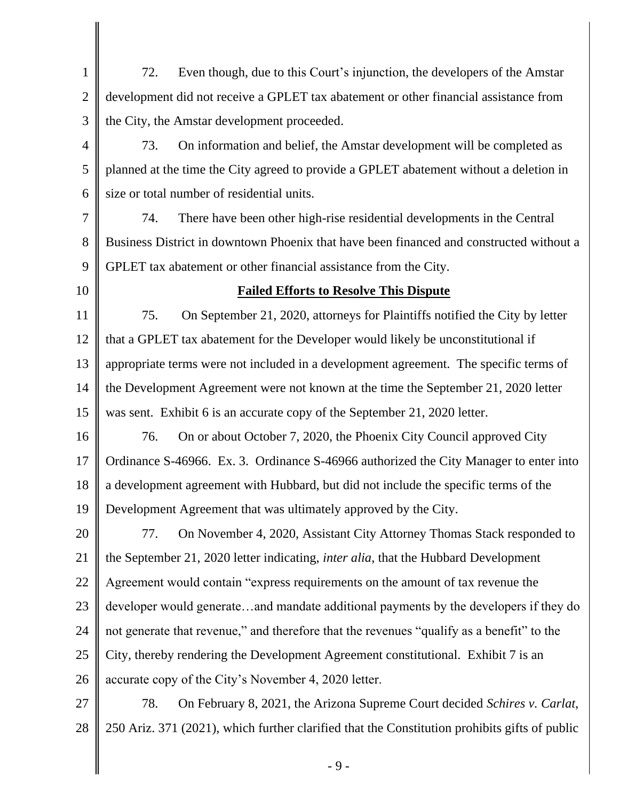1 2 3 72. Even though, due to this Court's injunction, the developers of the Amstar development did not receive a GPLET tax abatement or other financial assistance from the City, the Amstar development proceeded.

4 5 6 73. On information and belief, the Amstar development will be completed as planned at the time the City agreed to provide a GPLET abatement without a deletion in size or total number of residential units.

7 8 9 74. There have been other high-rise residential developments in the Central Business District in downtown Phoenix that have been financed and constructed without a GPLET tax abatement or other financial assistance from the City.

10

## **Failed Efforts to Resolve This Dispute**

11 12 13 14 15 75. On September 21, 2020, attorneys for Plaintiffs notified the City by letter that a GPLET tax abatement for the Developer would likely be unconstitutional if appropriate terms were not included in a development agreement. The specific terms of the Development Agreement were not known at the time the September 21, 2020 letter was sent. Exhibit 6 is an accurate copy of the September 21, 2020 letter.

16 17 18 19 76. On or about October 7, 2020, the Phoenix City Council approved City Ordinance S-46966. Ex. 3. Ordinance S-46966 authorized the City Manager to enter into a development agreement with Hubbard, but did not include the specific terms of the Development Agreement that was ultimately approved by the City.

20 21 22 23 24 25 26 77. On November 4, 2020, Assistant City Attorney Thomas Stack responded to the September 21, 2020 letter indicating, *inter alia*, that the Hubbard Development Agreement would contain "express requirements on the amount of tax revenue the developer would generate…and mandate additional payments by the developers if they do not generate that revenue," and therefore that the revenues "qualify as a benefit" to the City, thereby rendering the Development Agreement constitutional. Exhibit 7 is an accurate copy of the City's November 4, 2020 letter.

27 28 78. On February 8, 2021, the Arizona Supreme Court decided *Schires v. Carlat*, 250 Ariz. 371 (2021), which further clarified that the Constitution prohibits gifts of public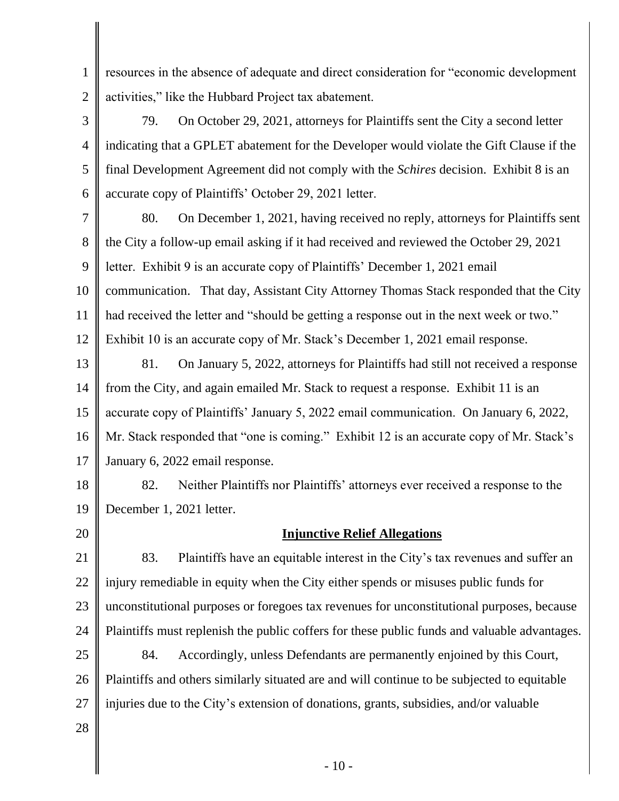2 resources in the absence of adequate and direct consideration for "economic development activities," like the Hubbard Project tax abatement.

3 4 5 6 79. On October 29, 2021, attorneys for Plaintiffs sent the City a second letter indicating that a GPLET abatement for the Developer would violate the Gift Clause if the final Development Agreement did not comply with the *Schires* decision. Exhibit 8 is an accurate copy of Plaintiffs' October 29, 2021 letter.

7 8 9 10 11 12 80. On December 1, 2021, having received no reply, attorneys for Plaintiffs sent the City a follow-up email asking if it had received and reviewed the October 29, 2021 letter. Exhibit 9 is an accurate copy of Plaintiffs' December 1, 2021 email communication. That day, Assistant City Attorney Thomas Stack responded that the City had received the letter and "should be getting a response out in the next week or two." Exhibit 10 is an accurate copy of Mr. Stack's December 1, 2021 email response.

13 14 15 16 17 81. On January 5, 2022, attorneys for Plaintiffs had still not received a response from the City, and again emailed Mr. Stack to request a response. Exhibit 11 is an accurate copy of Plaintiffs' January 5, 2022 email communication. On January 6, 2022, Mr. Stack responded that "one is coming." Exhibit 12 is an accurate copy of Mr. Stack's January 6, 2022 email response.

18 19 82. Neither Plaintiffs nor Plaintiffs' attorneys ever received a response to the December 1, 2021 letter.

20

1

## **Injunctive Relief Allegations**

21 22 23 24 25 26 83. Plaintiffs have an equitable interest in the City's tax revenues and suffer an injury remediable in equity when the City either spends or misuses public funds for unconstitutional purposes or foregoes tax revenues for unconstitutional purposes, because Plaintiffs must replenish the public coffers for these public funds and valuable advantages. 84. Accordingly, unless Defendants are permanently enjoined by this Court, Plaintiffs and others similarly situated are and will continue to be subjected to equitable

27 injuries due to the City's extension of donations, grants, subsidies, and/or valuable

28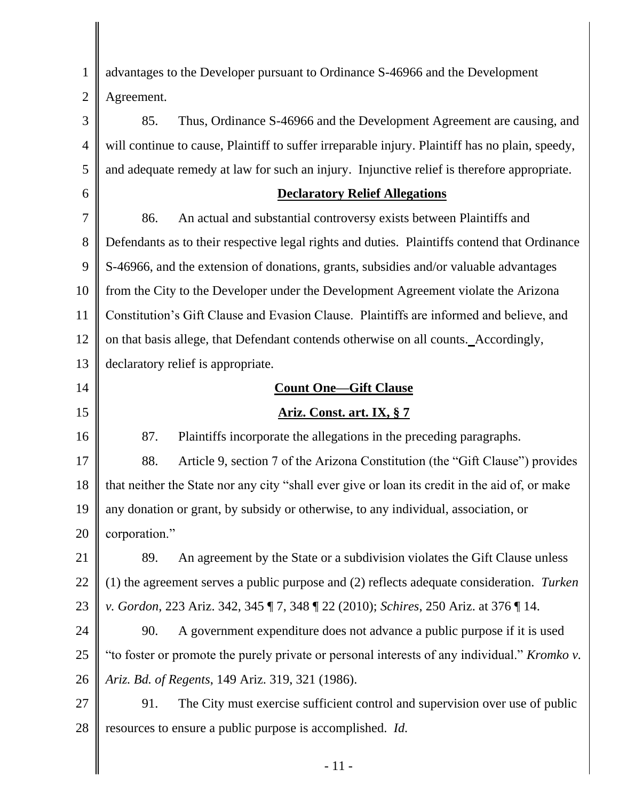1 2 3 4 5 6 7 8 9 10 11 12 13 14 15 16 17 18 19 20 21 22 23 24 25 26 27 28 advantages to the Developer pursuant to Ordinance S-46966 and the Development Agreement. 85. Thus, Ordinance S-46966 and the Development Agreement are causing, and will continue to cause, Plaintiff to suffer irreparable injury. Plaintiff has no plain, speedy, and adequate remedy at law for such an injury. Injunctive relief is therefore appropriate. **Declaratory Relief Allegations** 86. An actual and substantial controversy exists between Plaintiffs and Defendants as to their respective legal rights and duties. Plaintiffs contend that Ordinance S-46966, and the extension of donations, grants, subsidies and/or valuable advantages from the City to the Developer under the Development Agreement violate the Arizona Constitution's Gift Clause and Evasion Clause. Plaintiffs are informed and believe, and on that basis allege, that Defendant contends otherwise on all counts.Accordingly, declaratory relief is appropriate. **Count One—Gift Clause Ariz. Const. art. IX, § 7** 87. Plaintiffs incorporate the allegations in the preceding paragraphs. 88. Article 9, section 7 of the Arizona Constitution (the "Gift Clause") provides that neither the State nor any city "shall ever give or loan its credit in the aid of, or make any donation or grant, by subsidy or otherwise, to any individual, association, or corporation." 89. An agreement by the State or a subdivision violates the Gift Clause unless (1) the agreement serves a public purpose and (2) reflects adequate consideration. *Turken v. Gordon*, 223 Ariz. 342, 345 ¶ 7, 348 ¶ 22 (2010); *Schires*, 250 Ariz. at 376 ¶ 14. 90. A government expenditure does not advance a public purpose if it is used "to foster or promote the purely private or personal interests of any individual." *Kromko v. Ariz. Bd. of Regents*, 149 Ariz. 319, 321 (1986). 91. The City must exercise sufficient control and supervision over use of public resources to ensure a public purpose is accomplished. *Id.*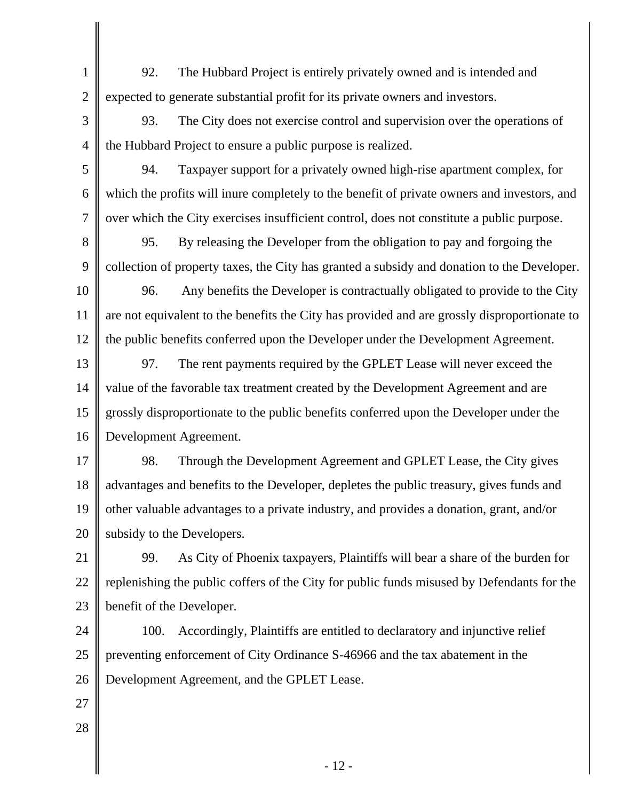92. The Hubbard Project is entirely privately owned and is intended and expected to generate substantial profit for its private owners and investors.

3 4 93. The City does not exercise control and supervision over the operations of the Hubbard Project to ensure a public purpose is realized.

94. Taxpayer support for a privately owned high-rise apartment complex, for which the profits will inure completely to the benefit of private owners and investors, and over which the City exercises insufficient control, does not constitute a public purpose.

8 9 95. By releasing the Developer from the obligation to pay and forgoing the collection of property taxes, the City has granted a subsidy and donation to the Developer.

10 11 12 96. Any benefits the Developer is contractually obligated to provide to the City are not equivalent to the benefits the City has provided and are grossly disproportionate to the public benefits conferred upon the Developer under the Development Agreement.

13 14 15 16 97. The rent payments required by the GPLET Lease will never exceed the value of the favorable tax treatment created by the Development Agreement and are grossly disproportionate to the public benefits conferred upon the Developer under the Development Agreement.

17 18 19 20 98. Through the Development Agreement and GPLET Lease, the City gives advantages and benefits to the Developer, depletes the public treasury, gives funds and other valuable advantages to a private industry, and provides a donation, grant, and/or subsidy to the Developers.

21 22 23 99. As City of Phoenix taxpayers, Plaintiffs will bear a share of the burden for replenishing the public coffers of the City for public funds misused by Defendants for the benefit of the Developer.

24 25 26 100. Accordingly, Plaintiffs are entitled to declaratory and injunctive relief preventing enforcement of City Ordinance S-46966 and the tax abatement in the Development Agreement, and the GPLET Lease.

27

1

2

5

6

7

28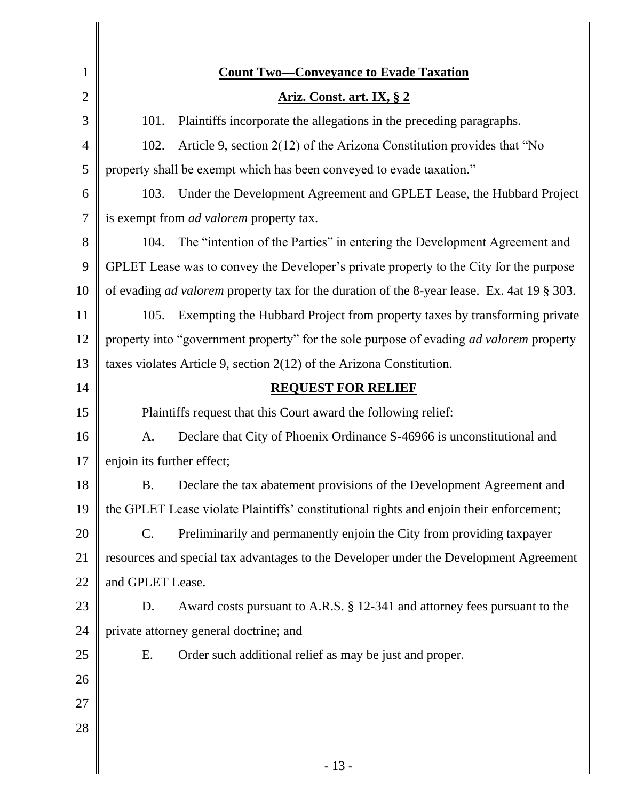| <b>Count Two-Conveyance to Evade Taxation</b>                                                     |
|---------------------------------------------------------------------------------------------------|
| Ariz. Const. art. IX, § 2                                                                         |
| 101.<br>Plaintiffs incorporate the allegations in the preceding paragraphs.                       |
| Article 9, section 2(12) of the Arizona Constitution provides that "No<br>102.                    |
| property shall be exempt which has been conveyed to evade taxation."                              |
| Under the Development Agreement and GPLET Lease, the Hubbard Project<br>103.                      |
| is exempt from <i>ad valorem</i> property tax.                                                    |
| The "intention of the Parties" in entering the Development Agreement and<br>104.                  |
| GPLET Lease was to convey the Developer's private property to the City for the purpose            |
| of evading <i>ad valorem</i> property tax for the duration of the 8-year lease. Ex. 4at 19 § 303. |
| Exempting the Hubbard Project from property taxes by transforming private<br>105.                 |
| property into "government property" for the sole purpose of evading <i>ad valorem</i> property    |
| taxes violates Article 9, section $2(12)$ of the Arizona Constitution.                            |
| <b>REQUEST FOR RELIEF</b>                                                                         |
| Plaintiffs request that this Court award the following relief:                                    |
| A.<br>Declare that City of Phoenix Ordinance S-46966 is unconstitutional and                      |
| enjoin its further effect;                                                                        |
| Declare the tax abatement provisions of the Development Agreement and<br><b>B.</b>                |
| the GPLET Lease violate Plaintiffs' constitutional rights and enjoin their enforcement;           |
| $\mathbf{C}$ .<br>Preliminarily and permanently enjoin the City from providing taxpayer           |
| resources and special tax advantages to the Developer under the Development Agreement             |
| and GPLET Lease.                                                                                  |
| Award costs pursuant to A.R.S. § 12-341 and attorney fees pursuant to the<br>D.                   |
| private attorney general doctrine; and                                                            |
| Order such additional relief as may be just and proper.<br>Ε.                                     |
|                                                                                                   |
|                                                                                                   |
|                                                                                                   |
| $-13-$                                                                                            |
|                                                                                                   |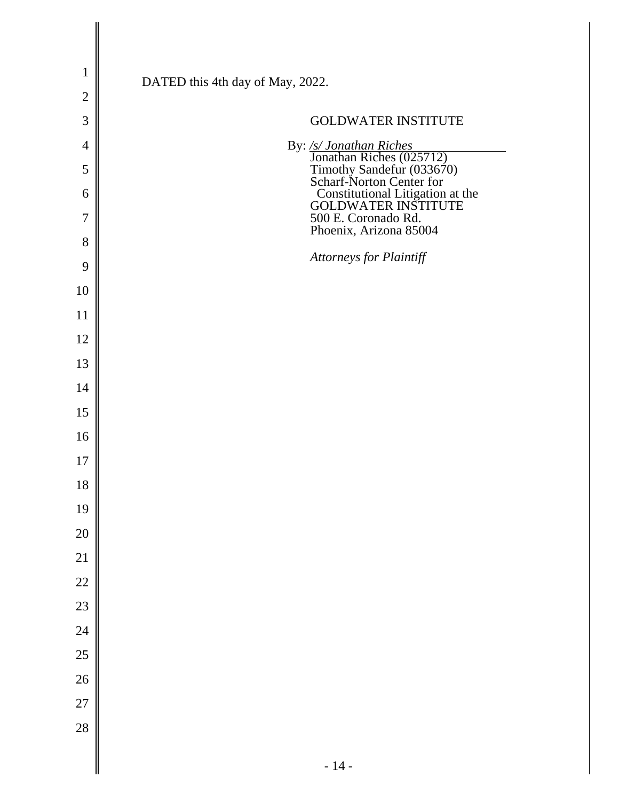| $\mathbf{1}$   |                                                                                                              |
|----------------|--------------------------------------------------------------------------------------------------------------|
| $\overline{2}$ | DATED this 4th day of May, 2022.                                                                             |
| 3              | <b>GOLDWATER INSTITUTE</b>                                                                                   |
| $\overline{4}$ |                                                                                                              |
| 5              | By: /s/ Jonathan Riches<br>Jonathan Riches (025712)<br>Timothy Sandefur (033670)<br>Scharf-Norton Center for |
| 6              | <b>Constitutional Litigation at the GOLDWATER INSTITUTE</b>                                                  |
| 7              | 500 E. Coronado Rd.<br>Phoenix, Arizona 85004                                                                |
| 8              |                                                                                                              |
| 9              | Attorneys for Plaintiff                                                                                      |
| 10             |                                                                                                              |
| 11             |                                                                                                              |
| 12             |                                                                                                              |
| 13             |                                                                                                              |
| 14             |                                                                                                              |
| 15             |                                                                                                              |
| 16             |                                                                                                              |
| 17             |                                                                                                              |
| 18             |                                                                                                              |
| 19             |                                                                                                              |
| 20             |                                                                                                              |
| 21             |                                                                                                              |
| 22             |                                                                                                              |
| 23             |                                                                                                              |
| 24             |                                                                                                              |
| 25             |                                                                                                              |
| 26             |                                                                                                              |
| 27             |                                                                                                              |
| 28             |                                                                                                              |
|                | $-14-$                                                                                                       |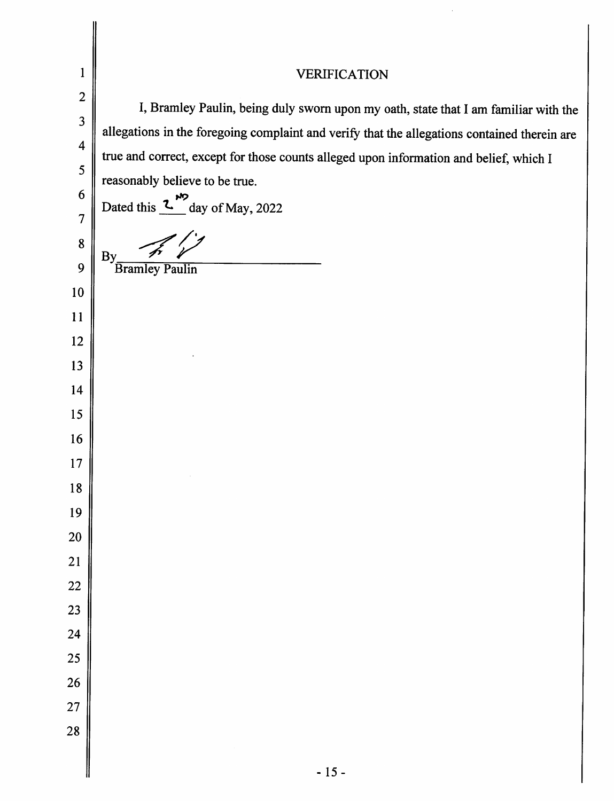| $\mathbf{1}$            | <b>VERIFICATION</b>                                                                          |  |
|-------------------------|----------------------------------------------------------------------------------------------|--|
| $\overline{2}$          | I, Bramley Paulin, being duly sworn upon my oath, state that I am familiar with the          |  |
| $\overline{\mathbf{3}}$ | allegations in the foregoing complaint and verify that the allegations contained therein are |  |
| $\overline{\mathbf{4}}$ | true and correct, except for those counts alleged upon information and belief, which I       |  |
| 5                       | reasonably believe to be true.                                                               |  |
| 6                       | a<br>day of May, 2022<br>Dated this 2                                                        |  |
| 7                       |                                                                                              |  |
| 8                       | By                                                                                           |  |
| 9<br>10                 | <b>Bramley Paulin</b>                                                                        |  |
| 11                      |                                                                                              |  |
| 12                      |                                                                                              |  |
| 13                      |                                                                                              |  |
| 14                      |                                                                                              |  |
| 15                      |                                                                                              |  |
| 16                      |                                                                                              |  |
| 17                      |                                                                                              |  |
| 18                      |                                                                                              |  |
| 19                      |                                                                                              |  |
| 20                      |                                                                                              |  |
| 21                      |                                                                                              |  |
| 22                      |                                                                                              |  |
| 23                      |                                                                                              |  |
| 24                      |                                                                                              |  |
| 25                      |                                                                                              |  |
| 26                      |                                                                                              |  |
| 27<br>28                |                                                                                              |  |
|                         |                                                                                              |  |
|                         | $-15-$                                                                                       |  |

 $\frac{1}{2}$ 

 $\vert$